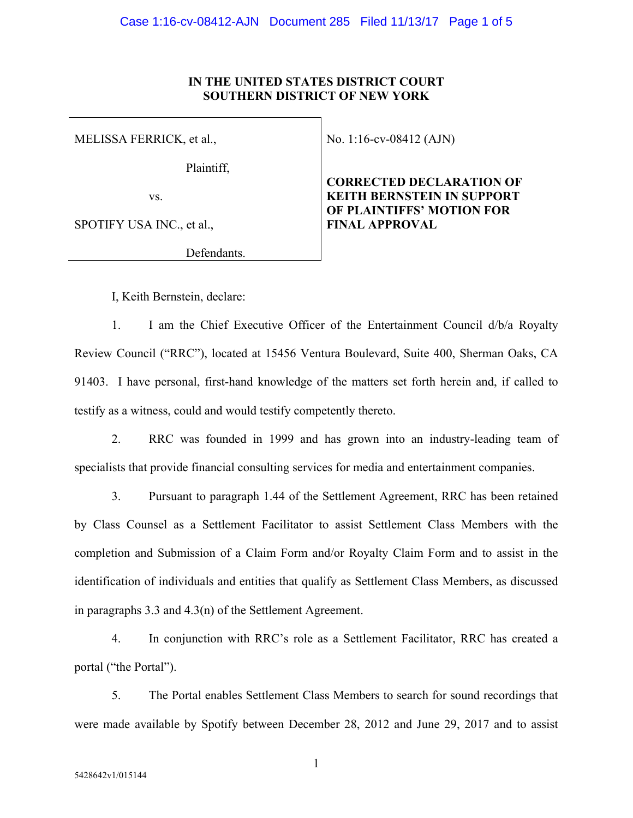#### **IN THE UNITED STATES DISTRICT COURT SOUTHERN DISTRICT OF NEW YORK**

MELISSA FERRICK, et al.,

Plaintiff,

vs.

SPOTIFY USA INC., et al.,

Defendants.

No. 1:16-cv-08412 (AJN)

**CORRECTED DECLARATION OF KEITH BERNSTEIN IN SUPPORT OF PLAINTIFFS' MOTION FOR FINAL APPROVAL** 

I, Keith Bernstein, declare:

1. I am the Chief Executive Officer of the Entertainment Council d/b/a Royalty Review Council ("RRC"), located at 15456 Ventura Boulevard, Suite 400, Sherman Oaks, CA 91403. I have personal, first-hand knowledge of the matters set forth herein and, if called to testify as a witness, could and would testify competently thereto.

2. RRC was founded in 1999 and has grown into an industry-leading team of specialists that provide financial consulting services for media and entertainment companies.

3. Pursuant to paragraph 1.44 of the Settlement Agreement, RRC has been retained by Class Counsel as a Settlement Facilitator to assist Settlement Class Members with the completion and Submission of a Claim Form and/or Royalty Claim Form and to assist in the identification of individuals and entities that qualify as Settlement Class Members, as discussed in paragraphs 3.3 and 4.3(n) of the Settlement Agreement.

4. In conjunction with RRC's role as a Settlement Facilitator, RRC has created a portal ("the Portal").

5. The Portal enables Settlement Class Members to search for sound recordings that were made available by Spotify between December 28, 2012 and June 29, 2017 and to assist

1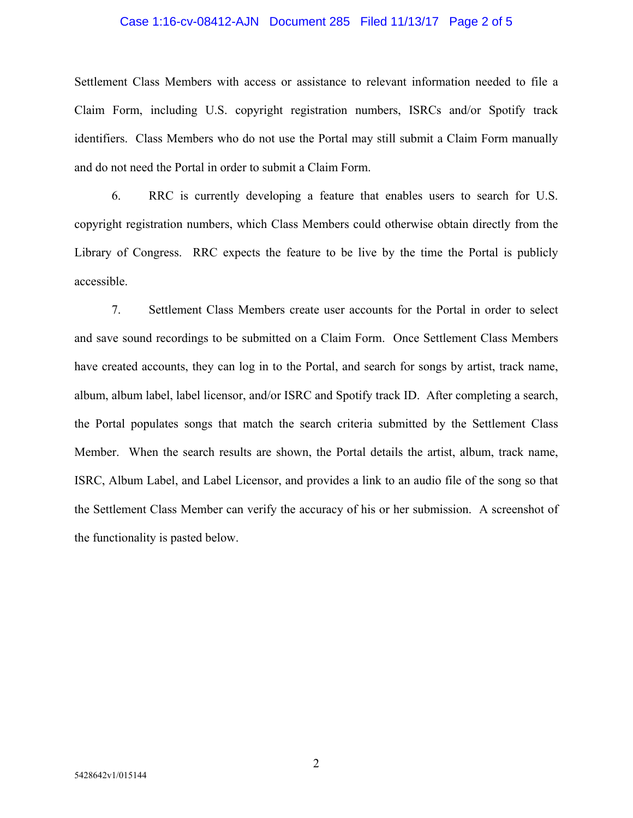#### Case 1:16-cv-08412-AJN Document 285 Filed 11/13/17 Page 2 of 5

Settlement Class Members with access or assistance to relevant information needed to file a Claim Form, including U.S. copyright registration numbers, ISRCs and/or Spotify track identifiers. Class Members who do not use the Portal may still submit a Claim Form manually and do not need the Portal in order to submit a Claim Form.

6. RRC is currently developing a feature that enables users to search for U.S. copyright registration numbers, which Class Members could otherwise obtain directly from the Library of Congress. RRC expects the feature to be live by the time the Portal is publicly accessible.

7. Settlement Class Members create user accounts for the Portal in order to select and save sound recordings to be submitted on a Claim Form. Once Settlement Class Members have created accounts, they can log in to the Portal, and search for songs by artist, track name, album, album label, label licensor, and/or ISRC and Spotify track ID. After completing a search, the Portal populates songs that match the search criteria submitted by the Settlement Class Member. When the search results are shown, the Portal details the artist, album, track name, ISRC, Album Label, and Label Licensor, and provides a link to an audio file of the song so that the Settlement Class Member can verify the accuracy of his or her submission. A screenshot of the functionality is pasted below.

2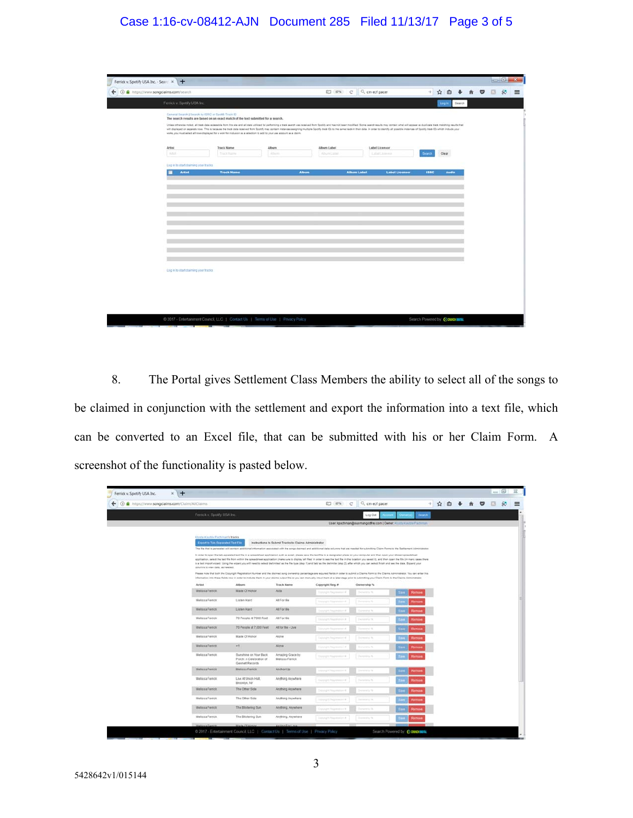### Case 1:16-cv-08412-AJN Document 285 Filed 11/13/17 Page 3 of 5

| Ferrick v. Spotify USA Inc. - Searc x +             |                                                                                                                                                                                                               |         |              |                                                                                                                                                                                                                                                                                                                                                                                                                                                                  |             |       |        |                    |         |  |
|-----------------------------------------------------|---------------------------------------------------------------------------------------------------------------------------------------------------------------------------------------------------------------|---------|--------------|------------------------------------------------------------------------------------------------------------------------------------------------------------------------------------------------------------------------------------------------------------------------------------------------------------------------------------------------------------------------------------------------------------------------------------------------------------------|-------------|-------|--------|--------------------|---------|--|
| ← © ● https://www.songclaims.com/tearch             |                                                                                                                                                                                                               |         |              | ET 67% C Q cm ecf pacer                                                                                                                                                                                                                                                                                                                                                                                                                                          | ÷           | ☆ 白   |        | $\hat{\mathbf{r}}$ | $\circ$ |  |
| Ferrick v. Spotly USA Inc.                          |                                                                                                                                                                                                               |         |              |                                                                                                                                                                                                                                                                                                                                                                                                                                                                  |             | Login | Search |                    |         |  |
| General Search   Search by ISRC or Spottly Track ID | The search results are based on an exact match of the text submitted for a search.<br>works, you must select all rose displayed for a work for inclusion as a valedion to add to your use atoport as a claim. |         |              | Unless otherwise noted, all back data accessible from this alse and all case utilized for performing a back search use received from Spotify and has not been modified. Some search mech much may consider shall all appear as<br>will displayed on separate rove. This is because the test date received from Spottly may contact interiors assigning multiple Spottly teats (D) to the sense teats in their date. In order to issuely all possible instances o |             |       |        |                    |         |  |
| Artist                                              | <b>Track Name</b>                                                                                                                                                                                             | Album   | Album Label  | Label Licensor                                                                                                                                                                                                                                                                                                                                                                                                                                                   |             |       |        |                    |         |  |
| Attil.                                              | <b>Tract Hume</b>                                                                                                                                                                                             | Atberts | Album Listel | Label Linkens                                                                                                                                                                                                                                                                                                                                                                                                                                                    | Search      | Clear |        |                    |         |  |
| Lag in to start chairning your tracks.              |                                                                                                                                                                                                               |         |              |                                                                                                                                                                                                                                                                                                                                                                                                                                                                  |             |       |        |                    |         |  |
| <b>Artist</b><br>٠                                  | <b>Track Name</b>                                                                                                                                                                                             |         | <b>Album</b> | <b>Album Label</b><br><b>Label Licenson</b>                                                                                                                                                                                                                                                                                                                                                                                                                      | <b>ISRC</b> |       | Audio  |                    |         |  |
|                                                     |                                                                                                                                                                                                               |         |              |                                                                                                                                                                                                                                                                                                                                                                                                                                                                  |             |       |        |                    |         |  |
|                                                     |                                                                                                                                                                                                               |         |              |                                                                                                                                                                                                                                                                                                                                                                                                                                                                  |             |       |        |                    |         |  |
|                                                     |                                                                                                                                                                                                               |         |              |                                                                                                                                                                                                                                                                                                                                                                                                                                                                  |             |       |        |                    |         |  |
|                                                     |                                                                                                                                                                                                               |         |              |                                                                                                                                                                                                                                                                                                                                                                                                                                                                  |             |       |        |                    |         |  |
|                                                     |                                                                                                                                                                                                               |         |              |                                                                                                                                                                                                                                                                                                                                                                                                                                                                  |             |       |        |                    |         |  |
|                                                     |                                                                                                                                                                                                               |         |              |                                                                                                                                                                                                                                                                                                                                                                                                                                                                  |             |       |        |                    |         |  |
|                                                     |                                                                                                                                                                                                               |         |              |                                                                                                                                                                                                                                                                                                                                                                                                                                                                  |             |       |        |                    |         |  |
|                                                     |                                                                                                                                                                                                               |         |              |                                                                                                                                                                                                                                                                                                                                                                                                                                                                  |             |       |        |                    |         |  |
|                                                     |                                                                                                                                                                                                               |         |              |                                                                                                                                                                                                                                                                                                                                                                                                                                                                  |             |       |        |                    |         |  |
|                                                     |                                                                                                                                                                                                               |         |              |                                                                                                                                                                                                                                                                                                                                                                                                                                                                  |             |       |        |                    |         |  |
|                                                     |                                                                                                                                                                                                               |         |              |                                                                                                                                                                                                                                                                                                                                                                                                                                                                  |             |       |        |                    |         |  |
|                                                     |                                                                                                                                                                                                               |         |              |                                                                                                                                                                                                                                                                                                                                                                                                                                                                  |             |       |        |                    |         |  |
|                                                     |                                                                                                                                                                                                               |         |              |                                                                                                                                                                                                                                                                                                                                                                                                                                                                  |             |       |        |                    |         |  |
|                                                     |                                                                                                                                                                                                               |         |              |                                                                                                                                                                                                                                                                                                                                                                                                                                                                  |             |       |        |                    |         |  |
|                                                     |                                                                                                                                                                                                               |         |              |                                                                                                                                                                                                                                                                                                                                                                                                                                                                  |             |       |        |                    |         |  |
|                                                     |                                                                                                                                                                                                               |         |              |                                                                                                                                                                                                                                                                                                                                                                                                                                                                  |             |       |        |                    |         |  |
| Leg in to start claiming your tracks                |                                                                                                                                                                                                               |         |              |                                                                                                                                                                                                                                                                                                                                                                                                                                                                  |             |       |        |                    |         |  |
|                                                     |                                                                                                                                                                                                               |         |              |                                                                                                                                                                                                                                                                                                                                                                                                                                                                  |             |       |        |                    |         |  |
|                                                     |                                                                                                                                                                                                               |         |              |                                                                                                                                                                                                                                                                                                                                                                                                                                                                  |             |       |        |                    |         |  |
|                                                     |                                                                                                                                                                                                               |         |              |                                                                                                                                                                                                                                                                                                                                                                                                                                                                  |             |       |        |                    |         |  |
|                                                     |                                                                                                                                                                                                               |         |              |                                                                                                                                                                                                                                                                                                                                                                                                                                                                  |             |       |        |                    |         |  |
|                                                     |                                                                                                                                                                                                               |         |              |                                                                                                                                                                                                                                                                                                                                                                                                                                                                  |             |       |        |                    |         |  |
|                                                     |                                                                                                                                                                                                               |         |              |                                                                                                                                                                                                                                                                                                                                                                                                                                                                  |             |       |        |                    |         |  |
|                                                     |                                                                                                                                                                                                               |         |              |                                                                                                                                                                                                                                                                                                                                                                                                                                                                  |             |       |        |                    |         |  |
|                                                     |                                                                                                                                                                                                               |         |              |                                                                                                                                                                                                                                                                                                                                                                                                                                                                  |             |       |        |                    |         |  |

8. The Portal gives Settlement Class Members the ability to select all of the songs to be claimed in conjunction with the settlement and export the information into a text file, which can be converted to an Excel file, that can be submitted with his or her Claim Form. A screenshot of the functionality is pasted below.

| Ferrick v. Spotify USA Inc.                    | $+$<br>$\times$                                                        |                                                                                   |                                                       |                                  |                                                                                                                                                                                                                                                                                                                                                                                                                                                                                                                                                                                                                                                                                                                                                                                                                                                    |                                  |       |   |  |
|------------------------------------------------|------------------------------------------------------------------------|-----------------------------------------------------------------------------------|-------------------------------------------------------|----------------------------------|----------------------------------------------------------------------------------------------------------------------------------------------------------------------------------------------------------------------------------------------------------------------------------------------------------------------------------------------------------------------------------------------------------------------------------------------------------------------------------------------------------------------------------------------------------------------------------------------------------------------------------------------------------------------------------------------------------------------------------------------------------------------------------------------------------------------------------------------------|----------------------------------|-------|---|--|
| C A https://www.songclaims.com/Claim/AllClaims |                                                                        |                                                                                   |                                                       | 27 67%                           | Q cm ecf pacer<br>$\mathcal{C}$                                                                                                                                                                                                                                                                                                                                                                                                                                                                                                                                                                                                                                                                                                                                                                                                                    | ÷                                | ☆ 自 ↓ | ◛ |  |
|                                                | Ferrick v. Spotly USA Inc.                                             |                                                                                   |                                                       |                                  | Log Out                                                                                                                                                                                                                                                                                                                                                                                                                                                                                                                                                                                                                                                                                                                                                                                                                                            | <b>Search</b><br><b>Ownall's</b> |       |   |  |
|                                                |                                                                        |                                                                                   |                                                       |                                  | User: kpachman@susmangodhey.com   Owner: Krysta Kautze Pachman                                                                                                                                                                                                                                                                                                                                                                                                                                                                                                                                                                                                                                                                                                                                                                                     |                                  |       |   |  |
|                                                | Kiysta Kautile Pactrinaris tracks<br>Export to Tab-Separated Text File |                                                                                   | Instructions to Submit Tracks to Claims Administrator |                                  | The file that is generated will contain additional information associated with the script claimed and additional data columns that are readed for submitting Claim Forms to the Settlement Administrator<br>In order to open the tab-separated feet file in a spreadsheet application such as extel, please seve the text file to a designated place on your computer and then open your chosen spreadsheet<br>application, select the bot file from within the spreadsheet application (make sure to display 'all filed' in inder to seek the block file in the boarden you seved it), and then open the file (in many cases there<br>is a last import wizant. Using the wizant you will need to select idelimited' as the file type (timp 1) and 'bo' as the delimiter (step 2), after which you can select finish and see the data. Expand your |                                  |       |   |  |
|                                                | columns to view date, as needed.                                       |                                                                                   |                                                       |                                  | Please hote that both the Copyright Registration Number and the stained song ownership paramings are required fields in order to submit a Claims Form to the Claims Administration to submit a Claims Administration that serv<br>information into these fields now in zoter to induce them in your olaims output file or you gen menually input them at a later stage prior to submitting your Claim Form to the Claims Administrator                                                                                                                                                                                                                                                                                                                                                                                                             |                                  |       |   |  |
|                                                | Artist                                                                 | <b>Album</b>                                                                      | Track Name                                            | Copyright Reg. #                 | Ownership %                                                                                                                                                                                                                                                                                                                                                                                                                                                                                                                                                                                                                                                                                                                                                                                                                                        |                                  |       |   |  |
|                                                | Melissa Ferrick                                                        | Made Of Honor                                                                     | Aida                                                  | Concrete Pace Measure of         | <b>Convention N</b>                                                                                                                                                                                                                                                                                                                                                                                                                                                                                                                                                                                                                                                                                                                                                                                                                                | Remav                            |       |   |  |
|                                                | Melissa Ferrick                                                        | Listen Hard                                                                       | All For Me                                            | Concept: Raymond &               | Owners N.                                                                                                                                                                                                                                                                                                                                                                                                                                                                                                                                                                                                                                                                                                                                                                                                                                          |                                  |       |   |  |
|                                                | <b>Meltssa Ferrick</b>                                                 | Listen Hard                                                                       | All For Me                                            | Conservation The accounts are of | Current of 1                                                                                                                                                                                                                                                                                                                                                                                                                                                                                                                                                                                                                                                                                                                                                                                                                                       |                                  |       |   |  |
|                                                | Mellissa Ferrick                                                       | 70 People At 7000 Fast                                                            | All For Me                                            | Chinesett Programmings &         | <b>Constraint St.</b>                                                                                                                                                                                                                                                                                                                                                                                                                                                                                                                                                                                                                                                                                                                                                                                                                              |                                  |       |   |  |
|                                                | <b>Melissa Ferrick</b>                                                 | 70 People at 7,000 Feet                                                           | All for Me-Live                                       | -<br>$-100$                      | <b>Service St</b>                                                                                                                                                                                                                                                                                                                                                                                                                                                                                                                                                                                                                                                                                                                                                                                                                                  |                                  |       |   |  |
|                                                | Melissa Ferrick                                                        | Made Of Honor                                                                     | Alone                                                 | Capulupe, Responsibility         | Detroit of N                                                                                                                                                                                                                                                                                                                                                                                                                                                                                                                                                                                                                                                                                                                                                                                                                                       |                                  |       |   |  |
|                                                | Melissa Ferrick                                                        | $-1$                                                                              | <b>Alone</b>                                          | --<br><b>Contractor Process</b>  | <b>Construction</b>                                                                                                                                                                                                                                                                                                                                                                                                                                                                                                                                                                                                                                                                                                                                                                                                                                |                                  |       |   |  |
|                                                | Melissa Femok                                                          | <b>Bunshine on Your Back</b><br>Porch: A Celebration of<br><b>Genneti Records</b> | Amazing Grace by<br>Mekssa Ferrick                    | County Reporter &                | Oursellon, N                                                                                                                                                                                                                                                                                                                                                                                                                                                                                                                                                                                                                                                                                                                                                                                                                                       |                                  |       |   |  |
|                                                | <b>Melissa Femor</b>                                                   | <b>Melissa Femick</b>                                                             | Anchor Up                                             | Crossed May<br>                  | <b>Severals</b>                                                                                                                                                                                                                                                                                                                                                                                                                                                                                                                                                                                                                                                                                                                                                                                                                                    |                                  |       |   |  |
|                                                | Melissa Ferrick                                                        | Live At Union Hall.<br>Brooklyn, NY                                               | Anything Anywhere                                     | Concrete Representative          | Christmas N.                                                                                                                                                                                                                                                                                                                                                                                                                                                                                                                                                                                                                                                                                                                                                                                                                                       |                                  |       |   |  |
|                                                | Melissa Femick                                                         | The Other Side                                                                    | Anithing Anywhere                                     | Colonized Researchers &          | Determine N                                                                                                                                                                                                                                                                                                                                                                                                                                                                                                                                                                                                                                                                                                                                                                                                                                        |                                  |       |   |  |
|                                                | Melissa Ferrick                                                        | The Other Side                                                                    | Anything Anywhere                                     | Stepspil Papermont               | Service of                                                                                                                                                                                                                                                                                                                                                                                                                                                                                                                                                                                                                                                                                                                                                                                                                                         |                                  |       |   |  |
|                                                | <b>Melissa Femck</b>                                                   | The Blistering Bun                                                                | Anything, Attrachers                                  | <b>Contract</b>                  | ---                                                                                                                                                                                                                                                                                                                                                                                                                                                                                                                                                                                                                                                                                                                                                                                                                                                |                                  |       |   |  |
|                                                | Melissa Ferrick                                                        | The Blistering Sun                                                                | Anything, Anywhere                                    | Statuture Roundealer &           | Service Mark                                                                                                                                                                                                                                                                                                                                                                                                                                                                                                                                                                                                                                                                                                                                                                                                                                       | <b>Carriche</b>                  |       |   |  |
|                                                |                                                                        |                                                                                   |                                                       |                                  |                                                                                                                                                                                                                                                                                                                                                                                                                                                                                                                                                                                                                                                                                                                                                                                                                                                    |                                  |       |   |  |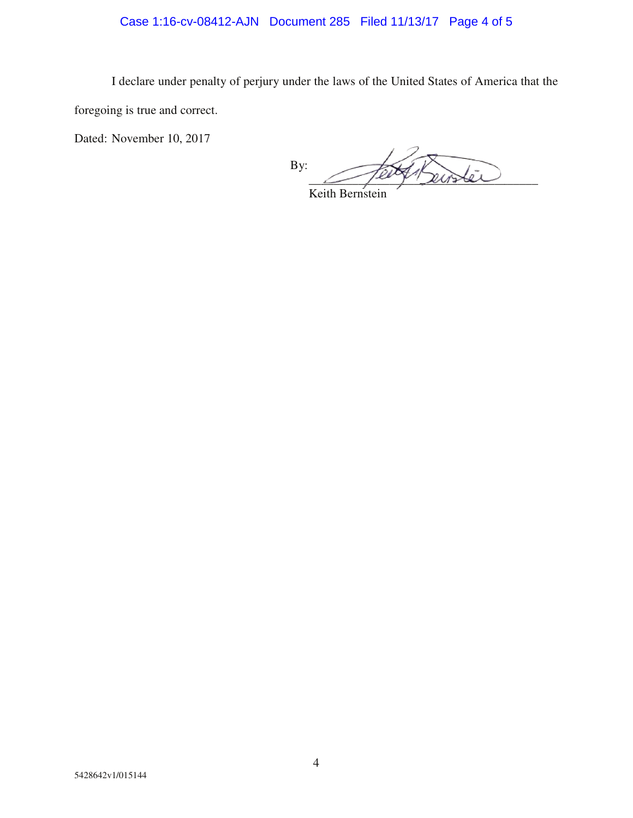# Case 1:16-cv-08412-AJN Document 285 Filed 11/13/17 Page 4 of 5

I declare under penalty of perjury under the laws of the United States of America that the foregoing is true and correct.

Dated: November 10, 2017

By:  $\sim$  pary susser

Keith Bernstein